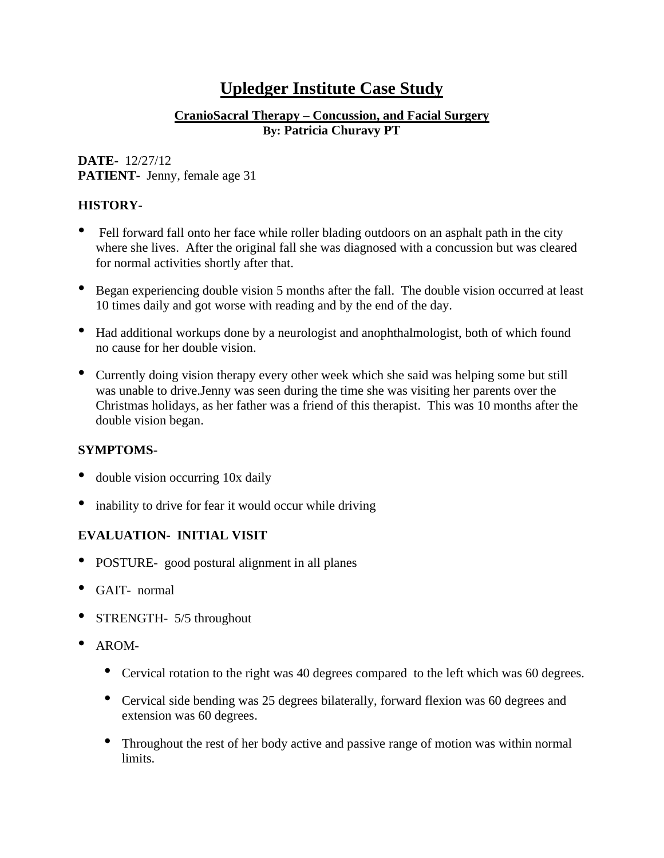# **Upledger Institute Case Study**

## **CranioSacral Therapy – Concussion, and Facial Surgery By: Patricia Churavy PT**

## **DATE-** 12/27/12 **PATIENT-** Jenny, female age 31

# **HISTORY-**

- Fell forward fall onto her face while roller blading outdoors on an asphalt path in the city where she lives. After the original fall she was diagnosed with a concussion but was cleared for normal activities shortly after that.
- Began experiencing double vision <sup>5</sup> months after the fall. The double vision occurred at least 10 times daily and got worse with reading and by the end of the day.
- Had additional workups done by a neurologist and anophthalmologist, both of which found no cause for her double vision.
- Currently doing vision therapy every other week which she said was helping some but still was unable to drive.Jenny was seen during the time she was visiting her parents over the Christmas holidays, as her father was a friend of this therapist. This was 10 months after the double vision began.

# **SYMPTOMS-**

- double vision occurring 10x daily
- inability to drive for fear it would occur while driving

# **EVALUATION- INITIAL VISIT**

- POSTURE- good postural alignment in all planes
- GAIT- normal
- STRENGTH- 5/5 throughout
- AROM-
	- Cervical rotation to the right was <sup>40</sup> degrees compared to the left which was <sup>60</sup> degrees.
	- Cervical side bending was <sup>25</sup> degrees bilaterally, forward flexion was <sup>60</sup> degrees and extension was 60 degrees.
	- Throughout the rest of her body active and passive range of motion was within normal limits.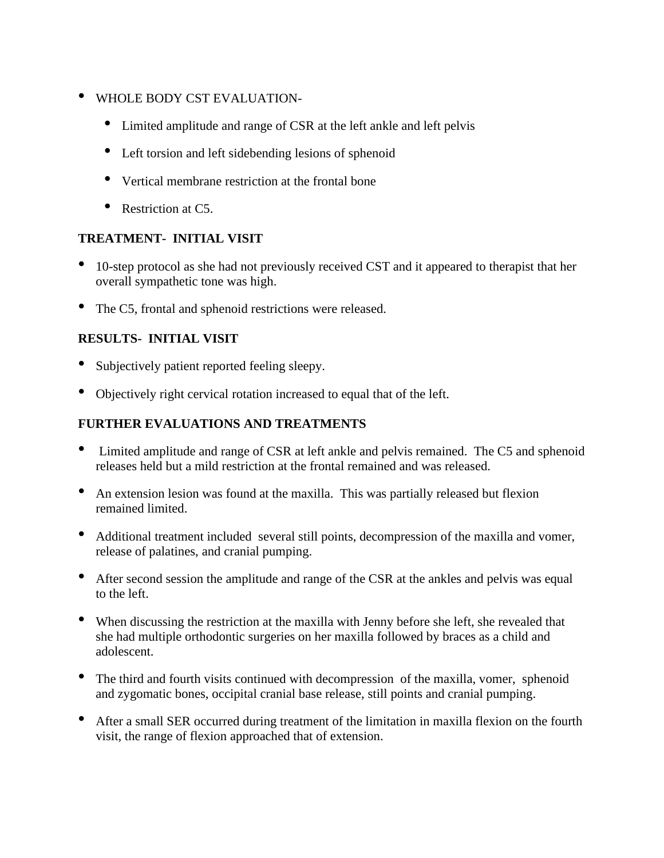- WHOLE BODY CST EVALUATION-
	- Limited amplitude and range of CSR at the left ankle and left pelvis
	- Left torsion and left sidebending lesions of sphenoid
	- Vertical membrane restriction at the frontal bone
	- Restriction at C5.

## **TREATMENT- INITIAL VISIT**

- 10-step protocol as she had not previously received CST and it appeared to therapist that her overall sympathetic tone was high.
- The C5, frontal and sphenoid restrictions were released.

# **RESULTS- INITIAL VISIT**

- Subjectively patient reported feeling sleepy.
- Objectively right cervical rotation increased to equal that of the left.

# **FURTHER EVALUATIONS AND TREATMENTS**

- Limited amplitude and range of CSR at left ankle and pelvis remained. The C5 and sphenoid releases held but a mild restriction at the frontal remained and was released.
- An extension lesion was found at the maxilla. This was partially released but flexion remained limited.
- Additional treatment included several still points, decompression of the maxilla and vomer, release of palatines, and cranial pumping.
- After second session the amplitude and range of the CSR at the ankles and pelvis was equal to the left.
- When discussing the restriction at the maxilla with Jenny before she left, she revealed that she had multiple orthodontic surgeries on her maxilla followed by braces as a child and adolescent.
- The third and fourth visits continued with decompression of the maxilla, vomer, sphenoid and zygomatic bones, occipital cranial base release, still points and cranial pumping.
- After <sup>a</sup> small SER occurred during treatment of the limitation in maxilla flexion on the fourth visit, the range of flexion approached that of extension.